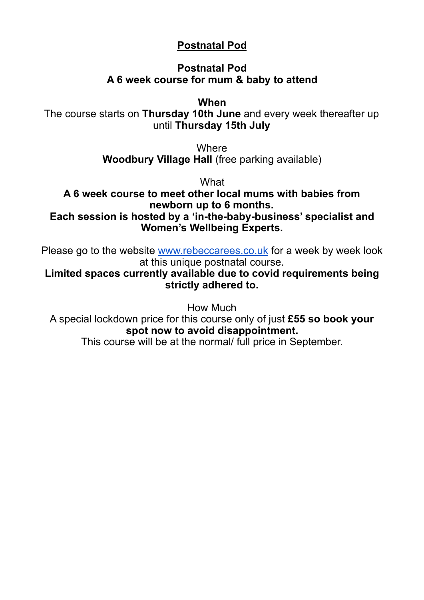#### **Postnatal Pod**

#### **Postnatal Pod A 6 week course for mum & baby to attend**

**When**

The course starts on **Thursday 10th June** and every week thereafter up until **Thursday 15th July**

> **Where Woodbury Village Hall** (free parking available)

> > **What**

**A 6 week course to meet other local mums with babies from newborn up to 6 months. Each session is hosted by a 'in-the-baby-business' specialist and Women's Wellbeing Experts.**

Please go to the website [www.rebeccarees.co.uk](https://www.google.com/url?q=http://www.rebeccarees.co.uk&sa=D&source=editors&ust=1621691105901000&usg=AOvVaw3Q-Qcn68d-E-fYzK_HAmK-) for a week by week look at this unique postnatal course.

**Limited spaces currently available due to covid requirements being strictly adhered to.**

How Much

A special lockdown price for this course only of just **£55 so book your spot now to avoid disappointment.**

This course will be at the normal/ full price in September.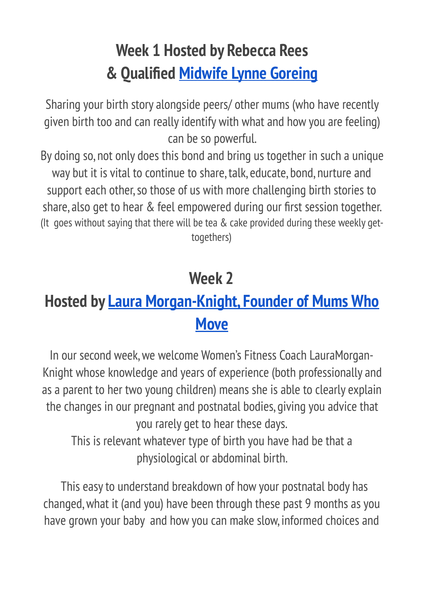# **Week 1 Hosted by Rebecca Rees & Qualified [Midwife Lynne Goreing](https://www.google.com/url?q=https://www.doulalynne.co.uk/about&sa=D&source=editors&ust=1621691105902000&usg=AOvVaw0_yl1fHLrWvmZE9pMmh-Bb)**

Sharing your birth story alongside peers/ other mums (who have recently given birth too and can really identify with what and how you are feeling) can be so powerful.

By doing so, not only does this bond and bring us together in such a unique way but it is vital to continue to share, talk, educate, bond, nurture and support each other, so those of us with more challenging birth stories to share, also get to hear & feel empowered during our first session together. (It goes without saying that there will be tea & cake provided during these weekly gettogethers)

## **Week 2**

#### **Hosted by [Laura Morgan-Knight, Founder of Mums Who](https://www.google.com/url?q=https://www.facebook.com/mwmexeter/&sa=D&source=editors&ust=1621691105903000&usg=AOvVaw09SkQty_Ch2PESOoBQy2O8)  [Move](https://www.google.com/url?q=https://www.facebook.com/mwmexeter/&sa=D&source=editors&ust=1621691105903000&usg=AOvVaw09SkQty_Ch2PESOoBQy2O8)**

In our second week, we welcome Women's Fitness Coach LauraMorgan-Knight whose knowledge and years of experience (both professionally and as a parent to her two young children) means she is able to clearly explain the changes in our pregnant and postnatal bodies, giving you advice that you rarely get to hear these days.

This is relevant whatever type of birth you have had be that a physiological or abdominal birth.

 This easy to understand breakdown of how your postnatal body has changed, what it (and you) have been through these past 9 months as you have grown your baby and how you can make slow, informed choices and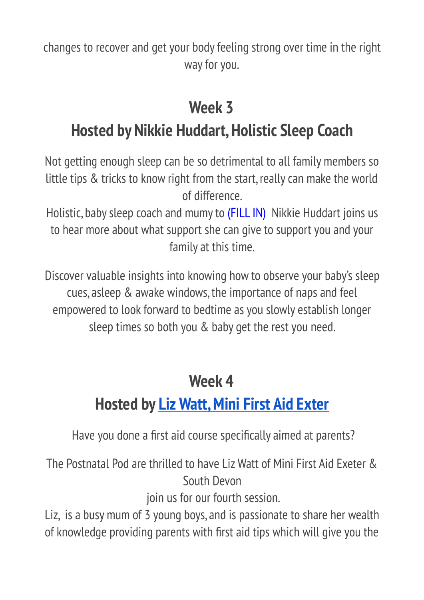changes to recover and get your body feeling strong over time in the right way for you.

# **Week 3 Hosted by Nikkie Huddart, Holistic Sleep Coach**

Not getting enough sleep can be so detrimental to all family members so little tips & tricks to know right from the start, really can make the world of difference.

Holistic, baby sleep coach and mumy to (FILL IN) Nikkie Huddart joins us to hear more about what support she can give to support you and your family at this time.

Discover valuable insights into knowing how to observe your baby's sleep cues, asleep & awake windows, the importance of naps and feel empowered to look forward to bedtime as you slowly establish longer sleep times so both you & baby get the rest you need.

## **Week 4**

# **Hosted by [Liz Watt, Mini First Aid Exter](https://www.google.com/url?q=https://devon.minifirstaid.co.uk&sa=D&source=editors&ust=1621691105905000&usg=AOvVaw3n7NhFqB2JWHTOG96XSXHf)**

Have you done a first aid course specifically aimed at parents?

The Postnatal Pod are thrilled to have Liz Watt of Mini First Aid Exeter & South Devon

join us for our fourth session.

Liz, is a busy mum of 3 young boys, and is passionate to share her wealth of knowledge providing parents with first aid tips which will give you the